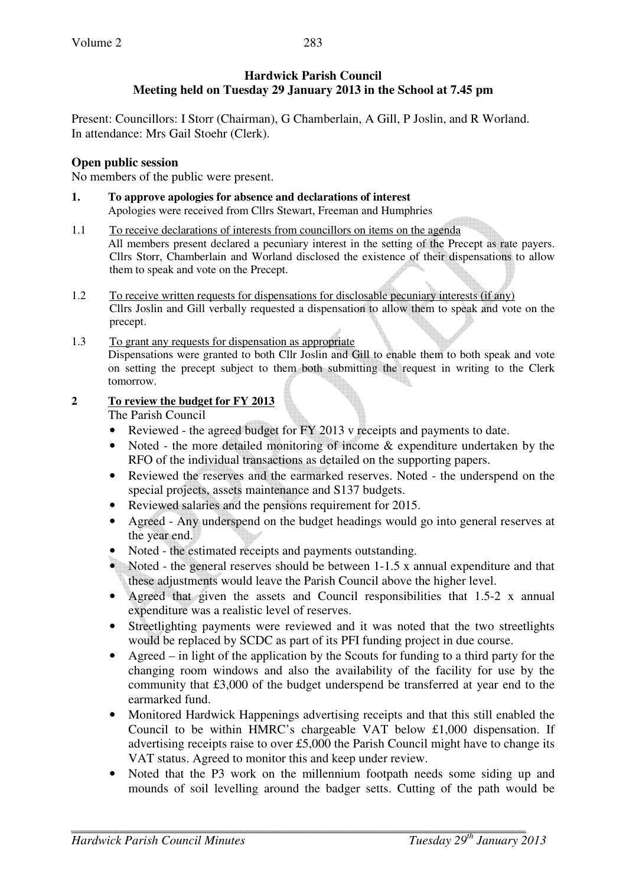# **Hardwick Parish Council Meeting held on Tuesday 29 January 2013 in the School at 7.45 pm**

Present: Councillors: I Storr (Chairman), G Chamberlain, A Gill, P Joslin, and R Worland. In attendance: Mrs Gail Stoehr (Clerk).

### **Open public session**

No members of the public were present.

- **1. To approve apologies for absence and declarations of interest**  Apologies were received from Cllrs Stewart, Freeman and Humphries
- 1.1 To receive declarations of interests from councillors on items on the agenda All members present declared a pecuniary interest in the setting of the Precept as rate payers. Cllrs Storr, Chamberlain and Worland disclosed the existence of their dispensations to allow them to speak and vote on the Precept.
- 1.2 To receive written requests for dispensations for disclosable pecuniary interests (if any) Cllrs Joslin and Gill verbally requested a dispensation to allow them to speak and vote on the precept.
- 1.3 To grant any requests for dispensation as appropriate Dispensations were granted to both Cllr Joslin and Gill to enable them to both speak and vote on setting the precept subject to them both submitting the request in writing to the Clerk tomorrow.

### **2 To review the budget for FY 2013**

The Parish Council

- Reviewed the agreed budget for FY 2013 v receipts and payments to date.
- Noted the more detailed monitoring of income & expenditure undertaken by the RFO of the individual transactions as detailed on the supporting papers.
- Reviewed the reserves and the earmarked reserves. Noted the underspend on the special projects, assets maintenance and S137 budgets.
- Reviewed salaries and the pensions requirement for 2015.
- Agreed Any underspend on the budget headings would go into general reserves at the year end.
- Noted the estimated receipts and payments outstanding.
- Noted the general reserves should be between 1-1.5 x annual expenditure and that these adjustments would leave the Parish Council above the higher level.
- Agreed that given the assets and Council responsibilities that 1.5-2 x annual expenditure was a realistic level of reserves.
- Streetlighting payments were reviewed and it was noted that the two streetlights would be replaced by SCDC as part of its PFI funding project in due course.
- Agreed in light of the application by the Scouts for funding to a third party for the changing room windows and also the availability of the facility for use by the community that £3,000 of the budget underspend be transferred at year end to the earmarked fund.
- Monitored Hardwick Happenings advertising receipts and that this still enabled the Council to be within HMRC's chargeable VAT below £1,000 dispensation. If advertising receipts raise to over £5,000 the Parish Council might have to change its VAT status. Agreed to monitor this and keep under review.
- Noted that the P3 work on the millennium footpath needs some siding up and mounds of soil levelling around the badger setts. Cutting of the path would be